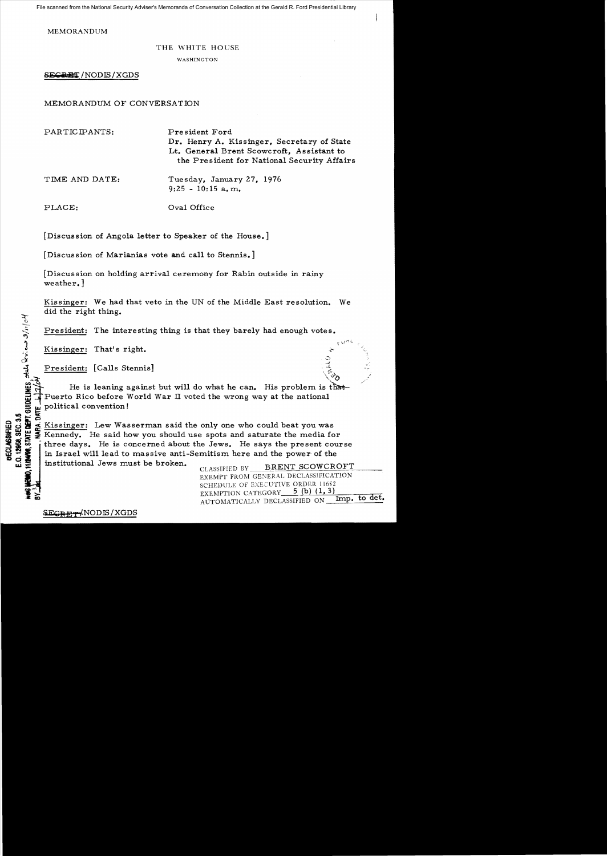File scanned from the National Security Adviser's Memoranda of Conversation Collection at the Gerald R. Ford Presidential Library

MEMORANDUM

## THE WHITE HOUSE

WASHINGTON

SECRET / NODIS / XGDS

MEMORANDUM OF CONVERSATION

PARTICIPANTS: President Ford Dr. Henry A. Kissinger, Secretary of State Lt. General Brent Scowcroft, Assistant to the President for National Security Affairs TIME AND DATE: Tuesday, January 27, 1976  $9:25 - 10:15$  a.m. PLACE:  $Oval$  Oral Office

[Discussion of Angola letter to Speaker of the House.]

[Discussion of Marianias vote and call to Stennis.]

[Discussion on holding arrival ceremony for Rabin outside in rainy weather. ]

Kissinger: We had that veto in the UN of the Middle East resolution. We did the right thing.

President: The interesting thing is that they barely had enough votes.

Kissinger: That's right.

**MIS498, STATE DEPT. GUIDELINES**, state levieurs 3/11/04

 $\mathcal{S}$  . The set of the set of the set of the set of the set of the set of the set of the set of the set of the set of the set of the set of the set of the set of the set of the set of the set of the set of the set of t

President: The interesting thing is that they barely had enough votes.<br>
Substitute That's right.<br>
President: [Calls Stennis]<br>
President: [Calls Stennis]<br>
President: [Calls Stennis]<br>
President: [Calls Stennis]<br>
President: T He is leaning against but will do what he can. His problem is that-<br>Puerto Rico before World War II voted the wrong way at the national  $\frac{1}{5}$  political convention!

 $\begin{array}{l}\n\text{Q}^{\bullet} & \text{N}^{\bullet} \\
\text{Q}^{\bullet} & \text{N}^{\bullet} \\
\text{Q}^{\bullet} & \text{N}^{\bullet} \\
\text{Q}^{\bullet} & \text{N}^{\bullet} \\
\text{Q}^{\bullet} & \text{N}^{\bullet} \\
\text{Q}^{\bullet} & \text{N}^{\bullet} \\
\text{Q}^{\bullet} & \text{N}^{\bullet} \\
\text{Q}^{\bullet} & \text{N}^{\bullet} \\
\text{Q}^{\bullet} & \text{N}^{\bullet} \\
\text{Q}^{\bullet} & \text{N}^{\bullet} \\
\text{Q}^{\bullet} & \text$ Kennedy. He said how you should use spots and saturate the media for  $\frac{3}{2}$   $\frac{3}{2}$   $\frac{5}{2}$  Kennedy. He said how you should use spots and saturate the media for<br> $\frac{3}{2}$   $\frac{3}{2}$   $\frac{5}{2}$  intree days. He is concerned about the Jews. He says the present course  $\frac{12}{10}$   $\frac{12}{10}$  in Israel will lead to massive anti-Semitism here and the power of the  $\frac{12}{10}$ institutional Jews must be broken. The CLASSIFIED BY BRENT SCOWCROFT

EXEMPT FROM GENERAL DECLASS!FICATION SCHEDULE OF EXECUTIVE ORDER 11652 EXEMPTION CATEGORY 5 (b) (1, 3) AUTOMATICALLY DECLASSIFIED ON Imp. to det.

 $SEGP$  MODIS/XGDS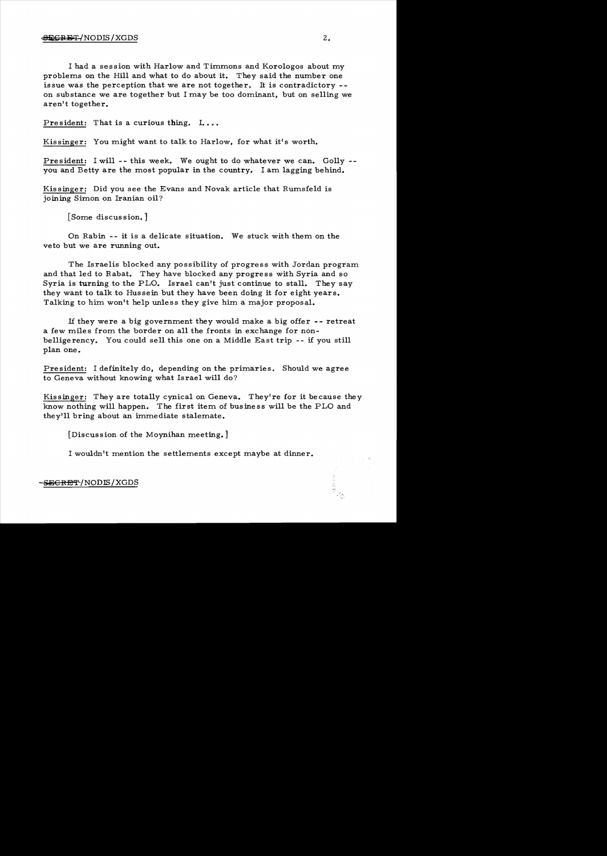## $\bigoplus$   $\bigoplus$   $\bigoplus$   $\bigoplus$   $\bigoplus$   $\bigoplus$   $\bigoplus$   $\bigoplus$   $\bigoplus$   $\bigoplus$   $\bigoplus$   $\bigoplus$   $\bigoplus$   $\bigoplus$   $\bigoplus$   $\bigoplus$   $\bigoplus$   $\bigoplus$   $\bigoplus$   $\bigoplus$   $\bigoplus$   $\bigoplus$   $\bigoplus$   $\bigoplus$   $\bigoplus$   $\bigoplus$   $\bigoplus$   $\bigoplus$   $\bigoplus$   $\bigoplus$   $\bigoplus$   $\bigopl$

I had a session with Harlow and Timmons and Korologos about my problems on the Hill and what to do about it. They said the number one issue was the perception that we are not together. It is contradictory on substance we are together but I may be too dominant, but on selling we aren't together.

President: That is a curious thing.  $I_{\bullet} \ldots$ 

Kissinger: You might want to talk to Harlow, for what it's worth.

President: I will -- this week. We ought to do whatever we can. Golly -you and Betty are the most popular in the country. I am lagging behind.

Kissinger: Did you see the Evans and Novak article that Rumsfeld is joining Simon on Iranian oil?

[Some discussion.]

On Rabin -- it is a delicate situation. We stuck with them on the veto but we are running out.

The Israelis blocked any possibility of progress with Jordan program and that led to Rabat. They have blocked any progress with Syria and so Syria is turning to the PLO. Israel can't just continue to stall. They say they want to talk to Hussein but they have been doing it for eight years. Talking to him won't help unless they give him a major proposal.

If they were a big government they would make a big offer - - retreat a few miles from the border on all the fronts in exchange for nonbelligerency. You could sell this one on a Middle East trip -- if you still plan one.

President: I definitely do, depending on the primaries. Should we agree to Geneva without knowing what Israel will do?

Kissinger: They are totally cynical on Geneva. They're for it because they know nothing will happen. The first item of business will be the PLO and they'll bring about an immediate stalemate.

[Discussion of the Moynihan meeting.]

I wouldn't mention the settlements except maybe at dinner.

~CRET /NODIS/XGDS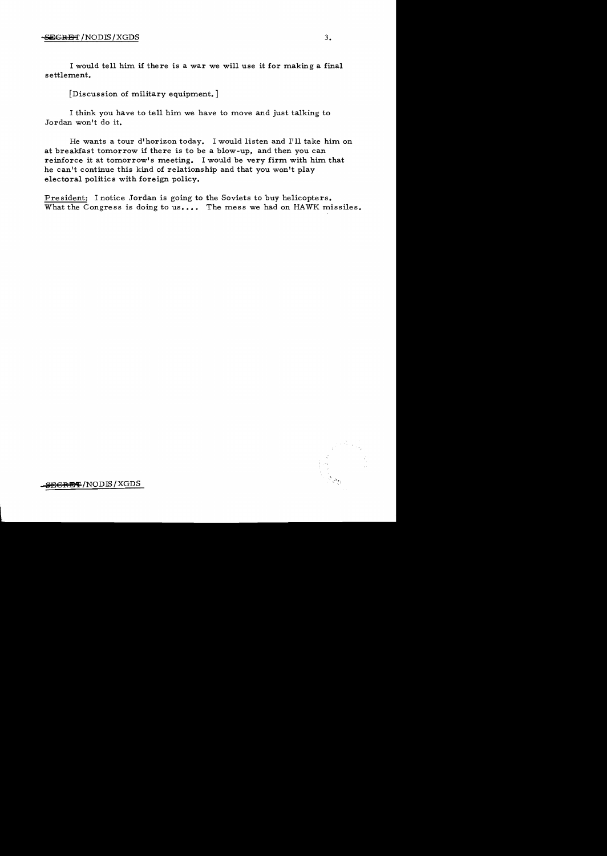I would tell him if there is a war we will use it for making a final settlement.

[Discussion of military equipment. ]

I think you have to tell him we have to move and just talking to Jordan won't do it.

He wants a tour d'horizon today. I would listen and I'll take him on at breakfast tomorrow if there is to be a blow-up, and then you can reinforce it at tomorrow's meeting. I would be very firm with him that he can't continue this kind of relationship and that you won't play electoral politics with foreign policy.

President: I notice Jordan is going to the Soviets to buy helicopters. What the Congress is doing to us.... The mess we had on HAWK missiles.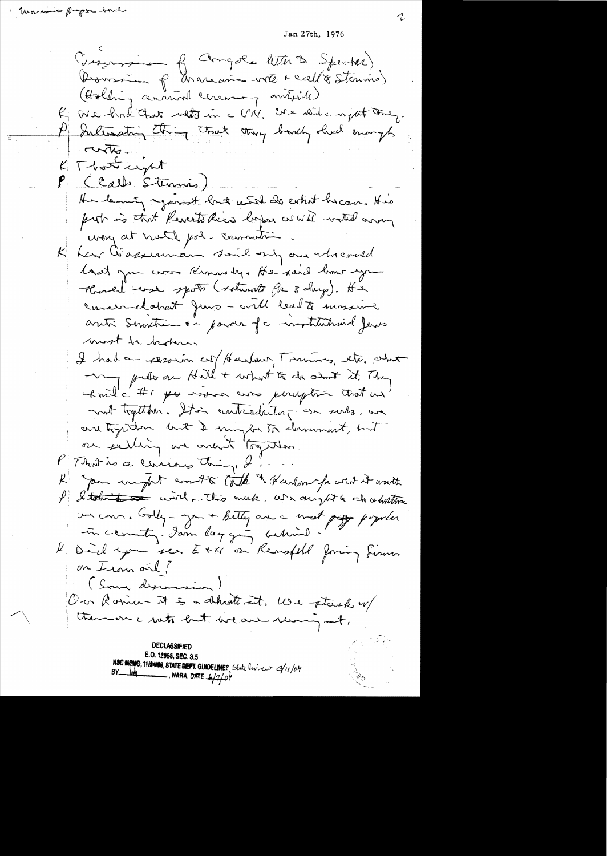Jan 27th, 1976

(Insurance of Congole letter to Spectal) Domsom p Environne vote + call à Sterino) (Holding around ceremany antside) We had that with in a VIV, we did a night thing. Internating thing truet thing bandy lived enough Tunto-K That ught (Calls Stermis) He leaving against long with do what he can. His prob is that Peresto Rica lopse as WII withdown way at note pol. commeting har Wasserman said my and who could land you was Known by. He said home you Konel use spoto (soturnte for 3 days). It & concerned about Juno - will lead to mossime anti Semetra ne parois de institutional Jerus most be broken, I had a resorin cut / Harland, Tommon, etc. what my predio on Hill + what to do almost it. They knil a #1 po issue was peruption that an not treption. It is contradictory on surts, we are together but I might to demonant, but ou éelling une avent "together. P That is a cerciain thing & ... K you we get court to late & Karlow frosted it anote I letter the wird this much, we any tot a charitime un com. Colly-ya + Betty are a most page popular in country. Jam layging artimed K Del you see EXXI ou Renafeld Joning Simon on Iran out? (Som desversion) On Roma- It is a shheath int, We stack u/ there on a rute but weare running out, DECLASSIFIED E.O. 12958, SEC. 3.5 NSC MEMO, 11/24/08, STATE DEFT. GUIDELINES, State lov. en  $\mathcal{I}_1/\rho$ 4  $-$ , NARA, DATE  $\frac{1}{2}$ 2/04